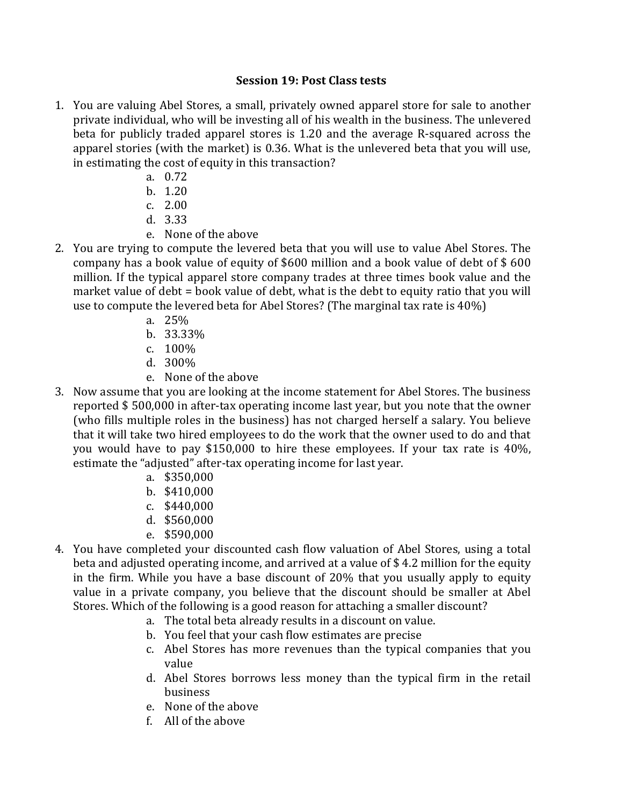## **Session 19: Post Class tests**

- 1. You are valuing Abel Stores, a small, privately owned apparel store for sale to another private individual, who will be investing all of his wealth in the business. The unlevered beta for publicly traded apparel stores is 1.20 and the average R-squared across the apparel stories (with the market) is 0.36. What is the unlevered beta that you will use, in estimating the cost of equity in this transaction?
	- a. 0.72
	- b. 1.20
	- c. 2.00
	- d. 3.33
	- e. None of the above
- 2. You are trying to compute the levered beta that you will use to value Abel Stores. The company has a book value of equity of \$600 million and a book value of debt of  $$600$ million. If the typical apparel store company trades at three times book value and the market value of debt = book value of debt, what is the debt to equity ratio that you will use to compute the levered beta for Abel Stores? (The marginal tax rate is  $40\%$ )
	- a. 25%
	- b. 33.33%
	- c. 100%
	- d. 300%
	- e. None of the above
- 3. Now assume that you are looking at the income statement for Abel Stores. The business reported \$500,000 in after-tax operating income last year, but you note that the owner (who fills multiple roles in the business) has not charged herself a salary. You believe that it will take two hired employees to do the work that the owner used to do and that you would have to pay \$150,000 to hire these employees. If your tax rate is  $40\%$ . estimate the "adjusted" after-tax operating income for last year.
	- a. \$350,000
	- b. \$410,000
	- c. \$440,000
	- d. \$560,000
	- e. \$590,000
- 4. You have completed your discounted cash flow valuation of Abel Stores, using a total beta and adjusted operating income, and arrived at a value of \$4.2 million for the equity in the firm. While you have a base discount of  $20\%$  that you usually apply to equity value in a private company, you believe that the discount should be smaller at Abel Stores. Which of the following is a good reason for attaching a smaller discount?
	- a. The total beta already results in a discount on value.
	- b. You feel that your cash flow estimates are precise
	- c. Abel Stores has more revenues than the typical companies that you value
	- d. Abel Stores borrows less money than the typical firm in the retail business
	- e. None of the above
	- f. All of the above